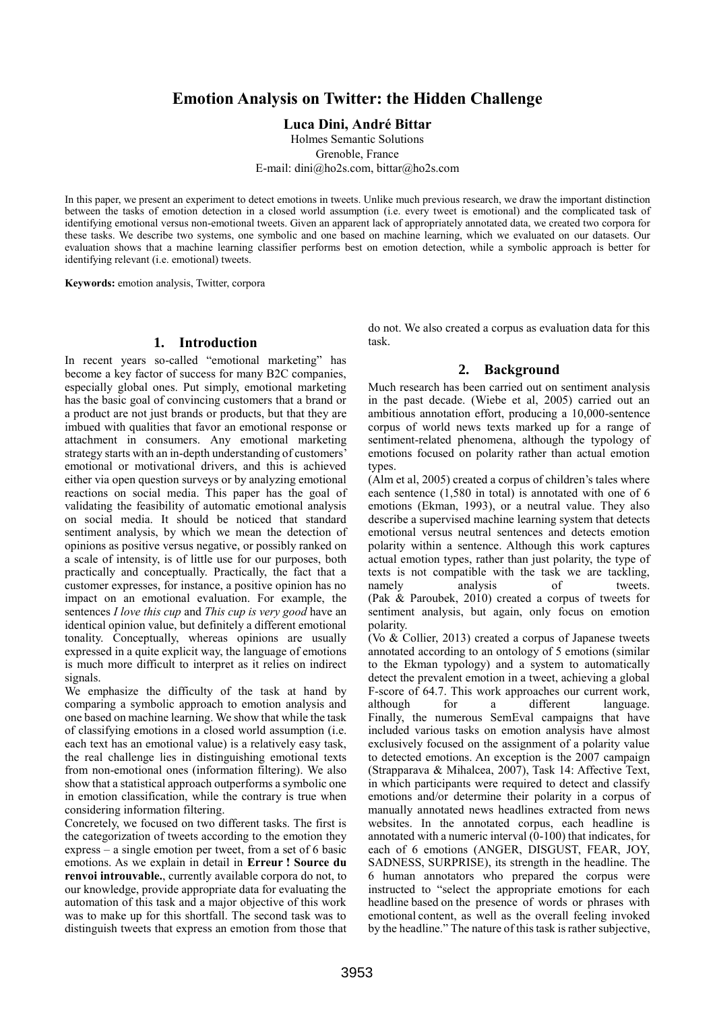# **Emotion Analysis on Twitter: the Hidden Challenge**

#### **Luca Dini, André Bittar**

Holmes Semantic Solutions Grenoble, France E-mail: dini@ho2s.com, bittar@ho2s.com

In this paper, we present an experiment to detect emotions in tweets. Unlike much previous research, we draw the important distinction between the tasks of emotion detection in a closed world assumption (i.e. every tweet is emotional) and the complicated task of identifying emotional versus non-emotional tweets. Given an apparent lack of appropriately annotated data, we created two corpora for these tasks. We describe two systems, one symbolic and one based on machine learning, which we evaluated on our datasets. Our evaluation shows that a machine learning classifier performs best on emotion detection, while a symbolic approach is better for identifying relevant (i.e. emotional) tweets.

**Keywords:** emotion analysis, Twitter, corpora

#### **1. Introduction**

In recent years so-called "emotional marketing" has become a key factor of success for many B2C companies, especially global ones. Put simply, emotional marketing has the basic goal of convincing customers that a brand or a product are not just brands or products, but that they are imbued with qualities that favor an emotional response or attachment in consumers. Any emotional marketing strategy starts with an in-depth understanding of customers' emotional or motivational drivers, and this is achieved either via open question surveys or by analyzing emotional reactions on social media. This paper has the goal of validating the feasibility of automatic emotional analysis on social media. It should be noticed that standard sentiment analysis, by which we mean the detection of opinions as positive versus negative, or possibly ranked on a scale of intensity, is of little use for our purposes, both practically and conceptually. Practically, the fact that a customer expresses, for instance, a positive opinion has no impact on an emotional evaluation. For example, the sentences *I love this cup* and *This cup is very good* have an identical opinion value, but definitely a different emotional tonality. Conceptually, whereas opinions are usually expressed in a quite explicit way, the language of emotions is much more difficult to interpret as it relies on indirect signals.

We emphasize the difficulty of the task at hand by comparing a symbolic approach to emotion analysis and one based on machine learning. We show that while the task of classifying emotions in a closed world assumption (i.e. each text has an emotional value) is a relatively easy task, the real challenge lies in distinguishing emotional texts from non-emotional ones (information filtering). We also show that a statistical approach outperforms a symbolic one in emotion classification, while the contrary is true when considering information filtering.

Concretely, we focused on two different tasks. The first is the categorization of tweets according to the emotion they express – a single emotion per tweet, from a set of 6 basic emotions. As we explain in detail in **Erreur ! Source du renvoi introuvable.**, currently available corpora do not, to our knowledge, provide appropriate data for evaluating the automation of this task and a major objective of this work was to make up for this shortfall. The second task was to distinguish tweets that express an emotion from those that do not. We also created a corpus as evaluation data for this task.

# **2. Background**

Much research has been carried out on sentiment analysis in the past decade. (Wiebe et al, 2005) carried out an ambitious annotation effort, producing a 10,000-sentence corpus of world news texts marked up for a range of sentiment-related phenomena, although the typology of emotions focused on polarity rather than actual emotion types.

(Alm et al, 2005) created a corpus of children's tales where each sentence (1,580 in total) is annotated with one of 6 emotions (Ekman, 1993), or a neutral value. They also describe a supervised machine learning system that detects emotional versus neutral sentences and detects emotion polarity within a sentence. Although this work captures actual emotion types, rather than just polarity, the type of texts is not compatible with the task we are tackling, namely analysis of tweets. (Pak & Paroubek, 2010) created a corpus of tweets for sentiment analysis, but again, only focus on emotion polarity.

(Vo & Collier, 2013) created a corpus of Japanese tweets annotated according to an ontology of 5 emotions (similar to the Ekman typology) and a system to automatically detect the prevalent emotion in a tweet, achieving a global F-score of 64.7. This work approaches our current work, although for a different language. Finally, the numerous SemEval campaigns that have included various tasks on emotion analysis have almost exclusively focused on the assignment of a polarity value to detected emotions. An exception is the 2007 campaign (Strapparava & Mihalcea, 2007), Task 14: Affective Text, in which participants were required to detect and classify emotions and/or determine their polarity in a corpus of manually annotated news headlines extracted from news websites. In the annotated corpus, each headline is annotated with a numeric interval (0-100) that indicates, for each of 6 emotions (ANGER, DISGUST, FEAR, JOY, SADNESS, SURPRISE), its strength in the headline. The 6 human annotators who prepared the corpus were instructed to "select the appropriate emotions for each headline based on the presence of words or phrases with emotional content, as well as the overall feeling invoked by the headline." The nature of this task is rather subjective,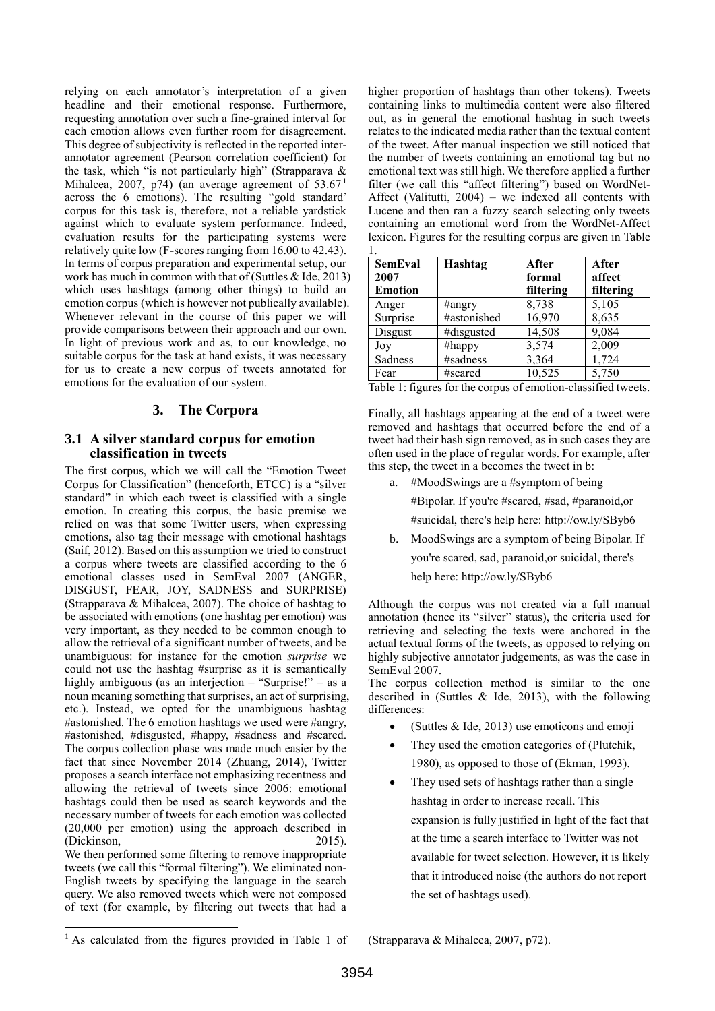relying on each annotator's interpretation of a given headline and their emotional response. Furthermore, requesting annotation over such a fine-grained interval for each emotion allows even further room for disagreement. This degree of subjectivity is reflected in the reported interannotator agreement (Pearson correlation coefficient) for the task, which "is not particularly high" (Strapparava & Mihalcea, 2007, p74) (an average agreement of 53.67<sup>1</sup> across the 6 emotions). The resulting "gold standard' corpus for this task is, therefore, not a reliable yardstick against which to evaluate system performance. Indeed, evaluation results for the participating systems were relatively quite low (F-scores ranging from 16.00 to 42.43). In terms of corpus preparation and experimental setup, our work has much in common with that of (Suttles & Ide, 2013) which uses hashtags (among other things) to build an emotion corpus (which is however not publically available). Whenever relevant in the course of this paper we will provide comparisons between their approach and our own. In light of previous work and as, to our knowledge, no suitable corpus for the task at hand exists, it was necessary for us to create a new corpus of tweets annotated for emotions for the evaluation of our system.

# **3. The Corpora**

### **3.1 A silver standard corpus for emotion classification in tweets**

The first corpus, which we will call the "Emotion Tweet Corpus for Classification" (henceforth, ETCC) is a "silver standard" in which each tweet is classified with a single emotion. In creating this corpus, the basic premise we relied on was that some Twitter users, when expressing emotions, also tag their message with emotional hashtags (Saif, 2012). Based on this assumption we tried to construct a corpus where tweets are classified according to the 6 emotional classes used in SemEval 2007 (ANGER, DISGUST, FEAR, JOY, SADNESS and SURPRISE) (Strapparava & Mihalcea, 2007). The choice of hashtag to be associated with emotions (one hashtag per emotion) was very important, as they needed to be common enough to allow the retrieval of a significant number of tweets, and be unambiguous: for instance for the emotion *surprise* we could not use the hashtag #surprise as it is semantically highly ambiguous (as an interjection – "Surprise!" – as a noun meaning something that surprises, an act of surprising, etc.). Instead, we opted for the unambiguous hashtag #astonished. The 6 emotion hashtags we used were #angry, #astonished, #disgusted, #happy, #sadness and #scared. The corpus collection phase was made much easier by the fact that since November 2014 (Zhuang, 2014), Twitter proposes a search interface not emphasizing recentness and allowing the retrieval of tweets since 2006: emotional hashtags could then be used as search keywords and the necessary number of tweets for each emotion was collected (20,000 per emotion) using the approach described in (Dickinson, 2015).

We then performed some filtering to remove inappropriate tweets (we call this "formal filtering"). We eliminated non-English tweets by specifying the language in the search query. We also removed tweets which were not composed of text (for example, by filtering out tweets that had a higher proportion of hashtags than other tokens). Tweets containing links to multimedia content were also filtered out, as in general the emotional hashtag in such tweets relates to the indicated media rather than the textual content of the tweet. After manual inspection we still noticed that the number of tweets containing an emotional tag but no emotional text was still high. We therefore applied a further filter (we call this "affect filtering") based on WordNet-Affect (Valitutti, 2004) – we indexed all contents with Lucene and then ran a fuzzy search selecting only tweets containing an emotional word from the WordNet-Affect lexicon. Figures for the resulting corpus are given in [Table](#page-1-0) 

| <b>SemEval</b><br>2007<br><b>Emotion</b> | Hashtag     | After<br>formal<br>filtering | After<br>affect<br>filtering |
|------------------------------------------|-------------|------------------------------|------------------------------|
| Anger                                    | #angry      | 8,738                        | 5,105                        |
| Surprise                                 | #astonished | 16,970                       | 8,635                        |
| Disgust                                  | #disgusted  | 14,508                       | 9,084                        |
| Jov                                      | #happy      | 3,574                        | 2,009                        |
| Sadness                                  | #sadness    | 3,364                        | 1,724                        |
| Fear                                     | #scared     | 10,525                       | 5,750                        |

<span id="page-1-0"></span>Table 1: figures for the corpus of emotion-classified tweets.

Finally, all hashtags appearing at the end of a tweet were removed and hashtags that occurred before the end of a tweet had their hash sign removed, as in such cases they are often used in the place of regular words. For example, after this step, the tweet in [a](#page-1-1) becomes the tweet in [b:](#page-1-2)

<span id="page-1-1"></span>a. #MoodSwings are a #symptom of being

#Bipolar. If you're #scared, #sad, #paranoid,or

#suicidal, there's help here: http://ow.ly/SByb6

<span id="page-1-2"></span>b. MoodSwings are a symptom of being Bipolar. If you're scared, sad, paranoid,or suicidal, there's help here: http://ow.ly/SByb6

Although the corpus was not created via a full manual annotation (hence its "silver" status), the criteria used for retrieving and selecting the texts were anchored in the actual textual forms of the tweets, as opposed to relying on highly subjective annotator judgements, as was the case in SemEval 2007.

The corpus collection method is similar to the one described in (Suttles & Ide, 2013), with the following differences:

- (Suttles & Ide, 2013) use emoticons and emoji
- They used the emotion categories of (Plutchik, 1980), as opposed to those of (Ekman, 1993).
- They used sets of hashtags rather than a single hashtag in order to increase recall. This expansion is fully justified in light of the fact that at the time a search interface to Twitter was not available for tweet selection. However, it is likely that it introduced noise (the authors do not report the set of hashtags used).

l

<sup>&</sup>lt;sup>1</sup> As calculated from the figures provided in Table 1 of

<sup>(</sup>Strapparava & Mihalcea, 2007, p72).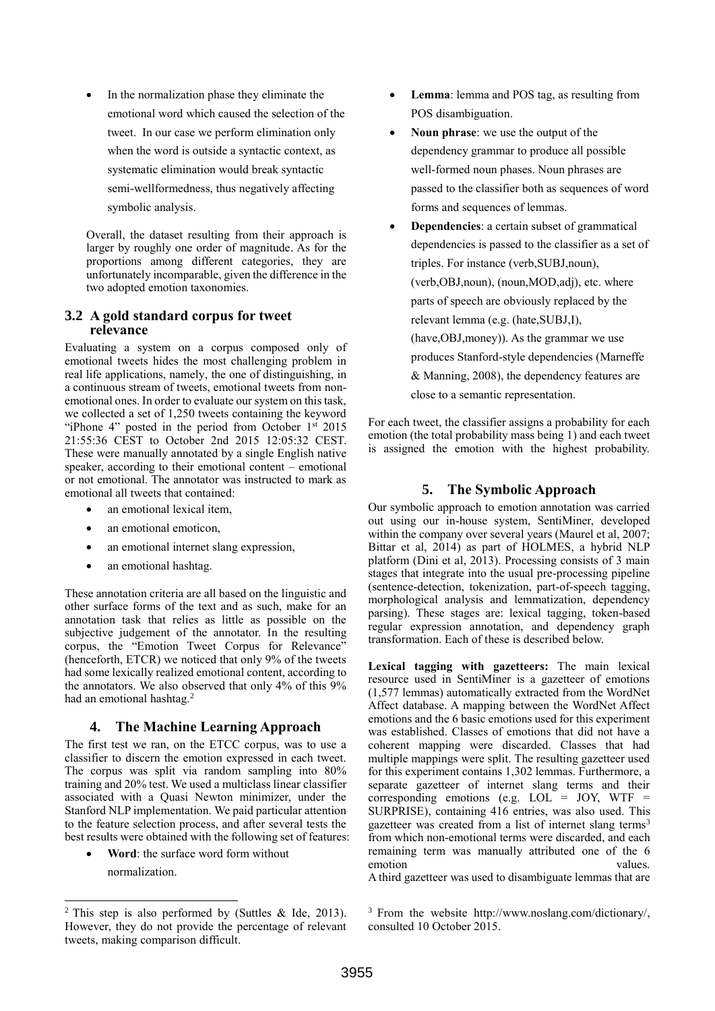In the normalization phase they eliminate the emotional word which caused the selection of the tweet. In our case we perform elimination only when the word is outside a syntactic context, as systematic elimination would break syntactic semi-wellformedness, thus negatively affecting symbolic analysis.

Overall, the dataset resulting from their approach is larger by roughly one order of magnitude. As for the proportions among different categories, they are unfortunately incomparable, given the difference in the two adopted emotion taxonomies.

#### **3.2 A gold standard corpus for tweet relevance**

Evaluating a system on a corpus composed only of emotional tweets hides the most challenging problem in real life applications, namely, the one of distinguishing, in a continuous stream of tweets, emotional tweets from nonemotional ones. In order to evaluate our system on this task, we collected a set of 1,250 tweets containing the keyword "iPhone 4" posted in the period from October  $1<sup>st</sup>$  2015 21:55:36 CEST to October 2nd 2015 12:05:32 CEST. These were manually annotated by a single English native speaker, according to their emotional content – emotional or not emotional. The annotator was instructed to mark as emotional all tweets that contained:

- an emotional lexical item,
- an emotional emoticon,
- an emotional internet slang expression,
- an emotional hashtag.

These annotation criteria are all based on the linguistic and other surface forms of the text and as such, make for an annotation task that relies as little as possible on the subjective judgement of the annotator. In the resulting corpus, the "Emotion Tweet Corpus for Relevance" (henceforth, ETCR) we noticed that only 9% of the tweets had some lexically realized emotional content, according to the annotators. We also observed that only 4% of this 9% had an emotional hashtag.<sup>2</sup>

# **4. The Machine Learning Approach**

The first test we ran, on the ETCC corpus, was to use a classifier to discern the emotion expressed in each tweet. The corpus was split via random sampling into 80% training and 20% test. We used a multiclass linear classifier associated with a Quasi Newton minimizer, under the Stanford NLP implementation. We paid particular attention to the feature selection process, and after several tests the best results were obtained with the following set of features:

 **Word**: the surface word form without normalization.

- **Lemma**: lemma and POS tag, as resulting from POS disambiguation.
- **Noun phrase**: we use the output of the dependency grammar to produce all possible well-formed noun phases. Noun phrases are passed to the classifier both as sequences of word forms and sequences of lemmas.
- **Dependencies**: a certain subset of grammatical dependencies is passed to the classifier as a set of triples. For instance (verb,SUBJ,noun), (verb,OBJ,noun), (noun,MOD,adj), etc. where parts of speech are obviously replaced by the relevant lemma (e.g. (hate,SUBJ,I), (have,OBJ,money)). As the grammar we use produces Stanford-style dependencies (Marneffe & Manning, 2008), the dependency features are close to a semantic representation.

For each tweet, the classifier assigns a probability for each emotion (the total probability mass being 1) and each tweet is assigned the emotion with the highest probability.

# **5. The Symbolic Approach**

Our symbolic approach to emotion annotation was carried out using our in-house system, SentiMiner, developed within the company over several years (Maurel et al, 2007; Bittar et al, 2014) as part of HOLMES, a hybrid NLP platform (Dini et al, 2013). Processing consists of 3 main stages that integrate into the usual pre-processing pipeline (sentence-detection, tokenization, part-of-speech tagging, morphological analysis and lemmatization, dependency parsing). These stages are: lexical tagging, token-based regular expression annotation, and dependency graph transformation. Each of these is described below.

**Lexical tagging with gazetteers:** The main lexical resource used in SentiMiner is a gazetteer of emotions (1,577 lemmas) automatically extracted from the WordNet Affect database. A mapping between the WordNet Affect emotions and the 6 basic emotions used for this experiment was established. Classes of emotions that did not have a coherent mapping were discarded. Classes that had multiple mappings were split. The resulting gazetteer used for this experiment contains 1,302 lemmas. Furthermore, a separate gazetteer of internet slang terms and their corresponding emotions (e.g.  $LOL = JOY$ , WTF = SURPRISE), containing 416 entries, was also used. This gazetteer was created from a list of internet slang terms<sup>3</sup> from which non-emotional terms were discarded, and each remaining term was manually attributed one of the 6 emotion values emotion

A third gazetteer was used to disambiguate lemmas that are

l 2 This step is also performed by (Suttles & Ide, 2013). However, they do not provide the percentage of relevant tweets, making comparison difficult.

<sup>3</sup> From the website http://www.noslang.com/dictionary/, consulted 10 October 2015.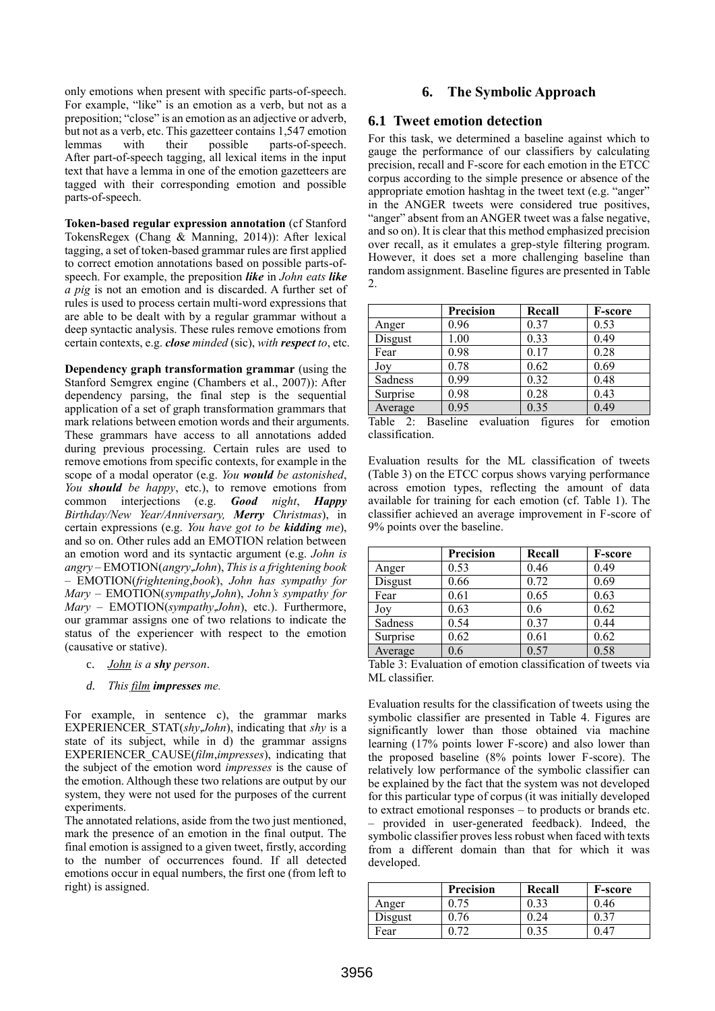only emotions when present with specific parts-of-speech. For example, "like" is an emotion as a verb, but not as a preposition; "close" is an emotion as an adjective or adverb, but not as a verb, etc. This gazetteer contains 1,547 emotion lemmas with their possible parts-of-speech. After part-of-speech tagging, all lexical items in the input text that have a lemma in one of the emotion gazetteers are tagged with their corresponding emotion and possible parts-of-speech.

**Token-based regular expression annotation** (cf Stanford TokensRegex (Chang & Manning, 2014)): After lexical tagging, a set of token-based grammar rules are first applied to correct emotion annotations based on possible parts-ofspeech. For example, the preposition *like* in *John eats like a pig* is not an emotion and is discarded. A further set of rules is used to process certain multi-word expressions that are able to be dealt with by a regular grammar without a deep syntactic analysis. These rules remove emotions from certain contexts, e.g. *close minded* (sic), *with respect to*, etc.

**Dependency graph transformation grammar** (using the Stanford Semgrex engine (Chambers et al., 2007)): After dependency parsing, the final step is the sequential application of a set of graph transformation grammars that mark relations between emotion words and their arguments. These grammars have access to all annotations added during previous processing. Certain rules are used to remove emotions from specific contexts, for example in the scope of a modal operator (e.g. *You would be astonished*, *You should be happy*, etc.), to remove emotions from common interjections (e.g. *Good night*, *Happy Birthday/New Year/Anniversary, Merry Christmas*), in certain expressions (e.g. *You have got to be kidding me*), and so on. Other rules add an EMOTION relation between an emotion word and its syntactic argument (e.g. *John is angry* – EMOTION(*angry*,*John*), *This is a frightening book* – EMOTION(*frightening*,*book*), *John has sympathy for Mary* – EMOTION(*sympathy*,*John*), *John's sympathy for Mary* – EMOTION(*sympathy*,*John*), etc.). Furthermore, our grammar assigns one of two relations to indicate the status of the experiencer with respect to the emotion (causative or stative).

- <span id="page-3-0"></span>c. *John is a shy person*.
- <span id="page-3-1"></span>*d. This film impresses me.*

For example, in sentence [c\)](#page-3-0), the grammar marks EXPERIENCER\_STAT(*shy*,*John*), indicating that *shy* is a state of its subject, while in [d\)](#page-3-1) the grammar assigns EXPERIENCER\_CAUSE(*film*,*impresses*), indicating that the subject of the emotion word *impresses* is the cause of the emotion. Although these two relations are output by our system, they were not used for the purposes of the current experiments.

The annotated relations, aside from the two just mentioned, mark the presence of an emotion in the final output. The final emotion is assigned to a given tweet, firstly, according to the number of occurrences found. If all detected emotions occur in equal numbers, the first one (from left to right) is assigned.

### **6. The Symbolic Approach**

#### **6.1 Tweet emotion detection**

For this task, we determined a baseline against which to gauge the performance of our classifiers by calculating precision, recall and F-score for each emotion in the ETCC corpus according to the simple presence or absence of the appropriate emotion hashtag in the tweet text (e.g. "anger" in the ANGER tweets were considered true positives, "anger" absent from an ANGER tweet was a false negative, and so on). It is clear that this method emphasized precision over recall, as it emulates a grep-style filtering program. However, it does set a more challenging baseline than random assignment. Baseline figures are presented i[n Table](#page-3-2)  [2.](#page-3-2)

|          | Precision | Recall | <b>F-score</b> |
|----------|-----------|--------|----------------|
| Anger    | 0.96      | 0.37   | 0.53           |
| Disgust  | 1.00      | 0.33   | 0.49           |
| Fear     | 0.98      | 0.17   | 0.28           |
| Joy      | 0.78      | 0.62   | 0.69           |
| Sadness  | 0.99      | 0.32   | 0.48           |
| Surprise | 0.98      | 0.28   | 0.43           |
| Average  | 0.95      | 0.35   | 0.49           |

<span id="page-3-2"></span>Table 2: Baseline evaluation figures for emotion classification.

Evaluation results for the ML classification of tweets [\(Table 3\)](#page-3-3) on the ETCC corpus shows varying performance across emotion types, reflecting the amount of data available for training for each emotion (cf. [Table 1\)](#page-1-0). The classifier achieved an average improvement in F-score of 9% points over the baseline.

|          | <b>Precision</b> | Recall | <b>F-score</b> |
|----------|------------------|--------|----------------|
| Anger    | 0.53             | 0.46   | 0.49           |
| Disgust  | 0.66             | 0.72   | 0.69           |
| Fear     | 0.61             | 0.65   | 0.63           |
| Joy      | 0.63             | 0.6    | 0.62           |
| Sadness  | 0.54             | 0.37   | 0.44           |
| Surprise | 0.62             | 0.61   | 0.62           |
| Average  | 0.6              | 0.57   | 0.58           |

<span id="page-3-3"></span>Table 3: Evaluation of emotion classification of tweets via ML classifier.

Evaluation results for the classification of tweets using the symbolic classifier are presented in [Table 4.](#page-4-0) Figures are significantly lower than those obtained via machine learning (17% points lower F-score) and also lower than the proposed baseline (8% points lower F-score). The relatively low performance of the symbolic classifier can be explained by the fact that the system was not developed for this particular type of corpus (it was initially developed to extract emotional responses – to products or brands etc. – provided in user-generated feedback). Indeed, the symbolic classifier proves less robust when faced with texts from a different domain than that for which it was developed.

|         | Precision | Recall | F-score |
|---------|-----------|--------|---------|
| Anger   |           | 0.32   | 9.46    |
| Disgust | 0.76      | .24    |         |
| Fear    |           |        |         |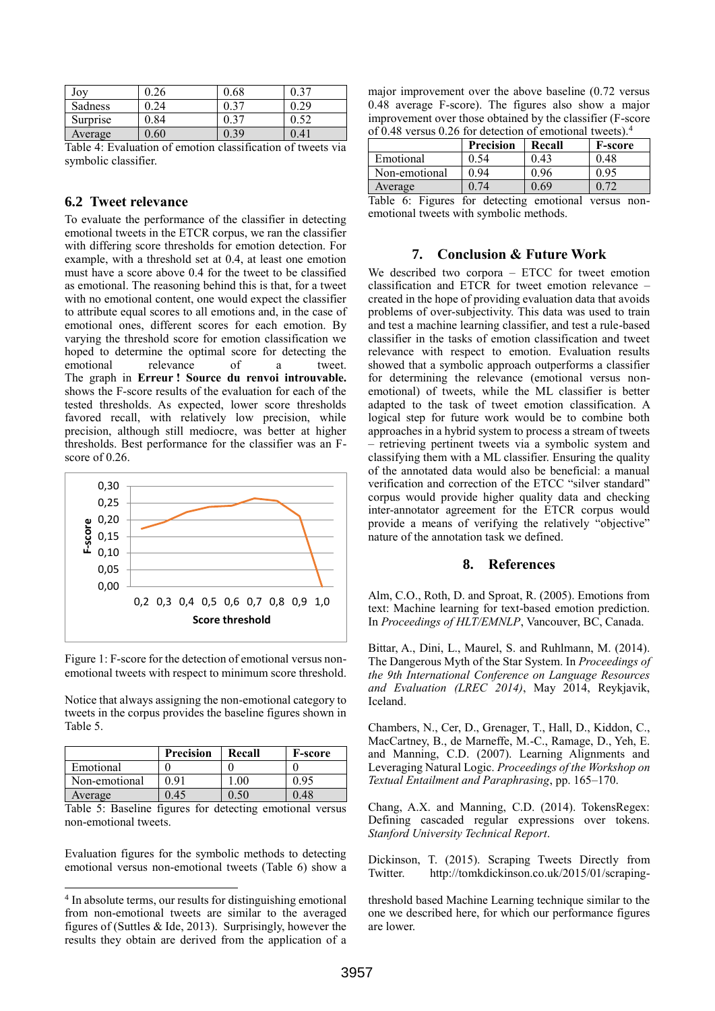| Joy      | 0.26 | $_{0.68}$ | 27  |
|----------|------|-----------|-----|
| Sadness  | 24   | 0.37      | 29  |
| Surprise | 0.84 | 0.37      |     |
| Average  | 0.60 | 0.39      | .41 |

<span id="page-4-0"></span>Table 4: Evaluation of emotion classification of tweets via symbolic classifier.

### **6.2 Tweet relevance**

To evaluate the performance of the classifier in detecting emotional tweets in the ETCR corpus, we ran the classifier with differing score thresholds for emotion detection. For example, with a threshold set at 0.4, at least one emotion must have a score above 0.4 for the tweet to be classified as emotional. The reasoning behind this is that, for a tweet with no emotional content, one would expect the classifier to attribute equal scores to all emotions and, in the case of emotional ones, different scores for each emotion. By varying the threshold score for emotion classification we hoped to determine the optimal score for detecting the<br>emotional relevance of a tweet relevance of a tweet. The graph in **Erreur ! Source du renvoi introuvable.** shows the F-score results of the evaluation for each of the tested thresholds. As expected, lower score thresholds favored recall, with relatively low precision, while precision, although still mediocre, was better at higher thresholds. Best performance for the classifier was an Fscore of 0.26.



Figure 1: F-score for the detection of emotional versus nonemotional tweets with respect to minimum score threshold.

Notice that always assigning the non-emotional category to tweets in the corpus provides the baseline figures shown in [Table 5.](#page-4-1)

|               | <b>Precision</b> | Recall | <b>F-score</b> |
|---------------|------------------|--------|----------------|
| Emotional     |                  |        |                |
| Non-emotional | 0.91             | .00    | 0.95           |
| Average       | 0.45             | .50    | 0.48           |

<span id="page-4-1"></span>Table 5: Baseline figures for detecting emotional versus non-emotional tweets.

Evaluation figures for the symbolic methods to detecting emotional versus non-emotional tweets [\(Table 6\)](#page-4-2) show a

l

major improvement over the above baseline (0.72 versus 0.48 average F-score). The figures also show a major improvement over those obtained by the classifier (F-score of 0.48 versus 0.26 for detection of emotional tweets).<sup>4</sup>

|               | <b>Precision</b> | Recall | <b>F-score</b> |
|---------------|------------------|--------|----------------|
| Emotional     | 0.54             | 0.43   | 0.48           |
| Non-emotional | 0 94             | 0.96   | 0.95           |
| Average       |                  | ).69   |                |

<span id="page-4-2"></span>Table 6: Figures for detecting emotional versus nonemotional tweets with symbolic methods.

#### **7. Conclusion & Future Work**

We described two corpora – ETCC for tweet emotion classification and ETCR for tweet emotion relevance – created in the hope of providing evaluation data that avoids problems of over-subjectivity. This data was used to train and test a machine learning classifier, and test a rule-based classifier in the tasks of emotion classification and tweet relevance with respect to emotion. Evaluation results showed that a symbolic approach outperforms a classifier for determining the relevance (emotional versus nonemotional) of tweets, while the ML classifier is better adapted to the task of tweet emotion classification. A logical step for future work would be to combine both approaches in a hybrid system to process a stream of tweets – retrieving pertinent tweets via a symbolic system and classifying them with a ML classifier. Ensuring the quality of the annotated data would also be beneficial: a manual verification and correction of the ETCC "silver standard" corpus would provide higher quality data and checking inter-annotator agreement for the ETCR corpus would provide a means of verifying the relatively "objective" nature of the annotation task we defined.

#### **8. References**

Alm, C.O., Roth, D. and Sproat, R. (2005). Emotions from text: Machine learning for text-based emotion prediction. In *Proceedings of HLT/EMNLP*, Vancouver, BC, Canada.

Bittar, A., Dini, L., Maurel, S. and Ruhlmann, M. (2014). The Dangerous Myth of the Star System. In *Proceedings of the 9th International Conference on Language Resources and Evaluation (LREC 2014)*, May 2014, Reykjavik, Iceland.

Chambers, N., Cer, D., Grenager, T., Hall, D., Kiddon, C., MacCartney, B., de Marneffe, M.-C., Ramage, D., Yeh, E. and Manning, C.D. (2007). Learning Alignments and Leveraging Natural Logic. *Proceedings of the Workshop on Textual Entailment and Paraphrasing*, pp. 165–170.

Chang, A.X. and Manning, C.D. (2014). TokensRegex: Defining cascaded regular expressions over tokens. *Stanford University Technical Report*.

Dickinson, T. (2015). Scraping Tweets Directly from Twitter. http://tomkdickinson.co.uk/2015/01/scraping-

threshold based Machine Learning technique similar to the one we described here, for which our performance figures are lower.

<sup>4</sup> In absolute terms, our results for distinguishing emotional from non-emotional tweets are similar to the averaged figures of (Suttles  $&$  Ide, 2013). Surprisingly, however the results they obtain are derived from the application of a